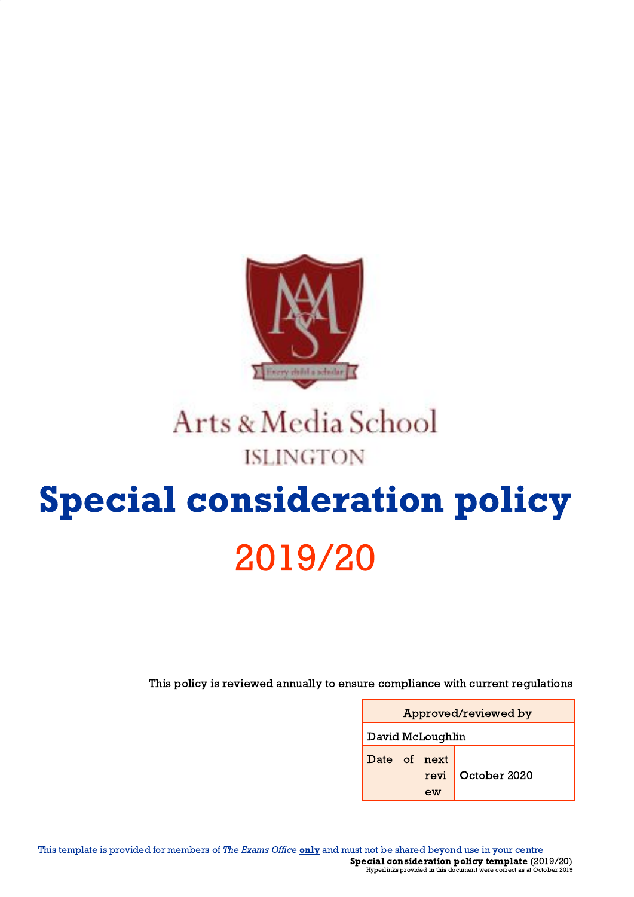

# Arts & Media School **ISLINGTON**

# Special consideration policy 2019/20

This policy is reviewed annually to ensure compliance with current regulations

| Approved/reviewed by       |              |  |  |
|----------------------------|--------------|--|--|
| David McLoughlin           |              |  |  |
| Date of next<br>revi<br>ew | October 2020 |  |  |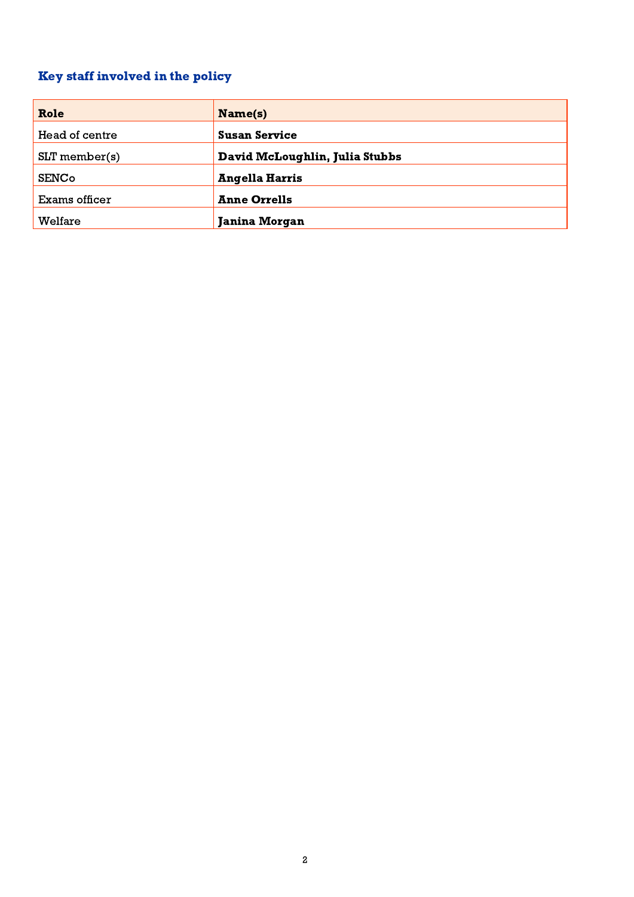## <span id="page-1-0"></span>Key staff involved in the policy

| Role            | Name(s)                        |
|-----------------|--------------------------------|
| Head of centre  | <b>Susan Service</b>           |
| $SLT$ member(s) | David McLoughlin, Julia Stubbs |
| <b>SENCo</b>    | <b>Angella Harris</b>          |
| Exams officer   | <b>Anne Orrells</b>            |
| Welfare         | <b>Janina Morgan</b>           |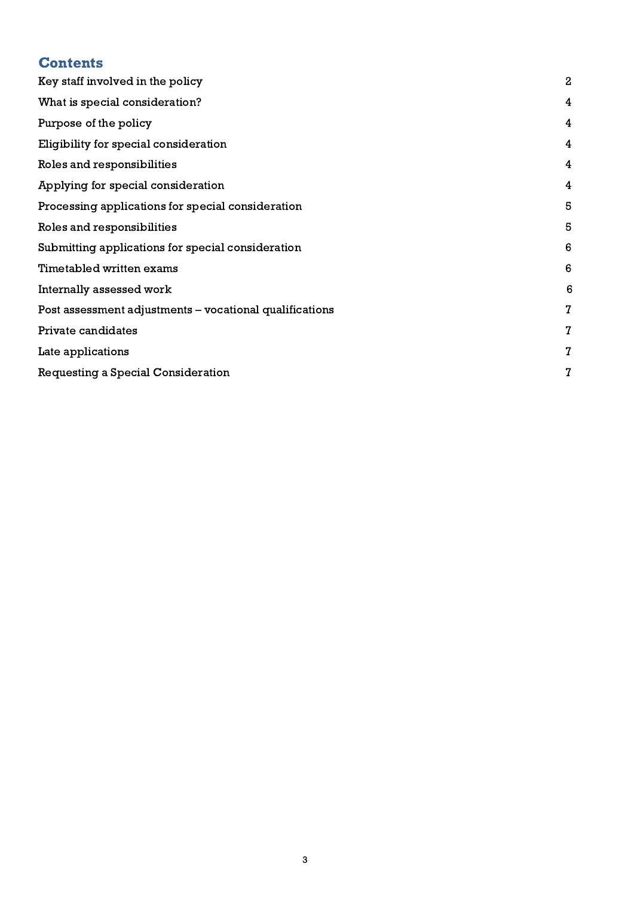# **Contents**

| Key staff involved in the policy                        | $\mathbf{2}$   |
|---------------------------------------------------------|----------------|
| What is special consideration?                          | 4              |
| Purpose of the policy                                   | 4              |
| Eligibility for special consideration                   | 4              |
| Roles and responsibilities                              | $\overline{4}$ |
| Applying for special consideration                      | 4              |
| Processing applications for special consideration       | 5              |
| Roles and responsibilities                              | 5              |
| Submitting applications for special consideration       | 6              |
| Timetabled written exams                                | 6              |
| Internally assessed work                                | 6              |
| Post assessment adjustments – vocational qualifications | $\mathbf{7}$   |
| Private candidates                                      | $\mathbf{7}$   |
| Late applications                                       | $\overline{I}$ |
| Requesting a Special Consideration                      | 7              |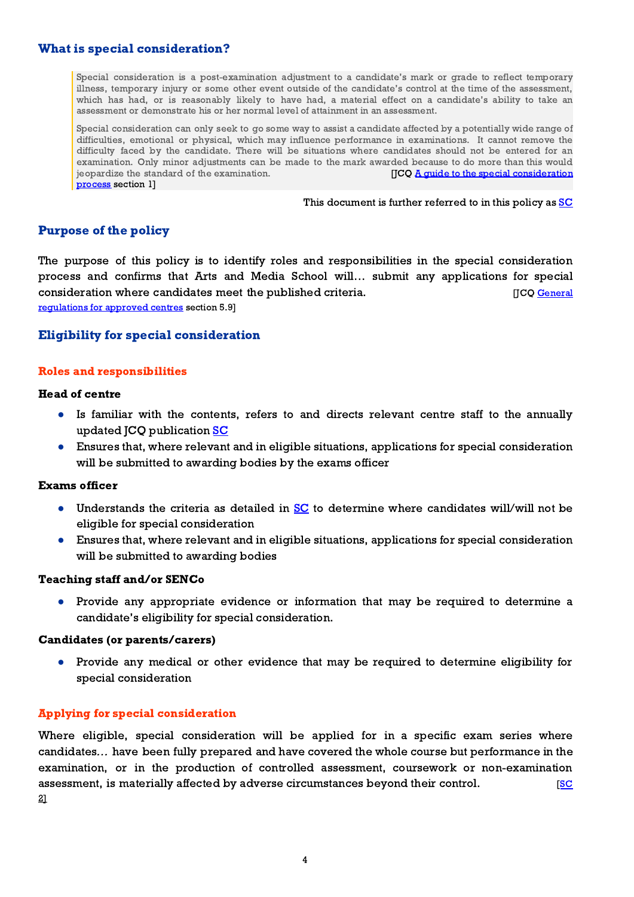#### <span id="page-3-0"></span>What is special consideration?

Special consideration is a post-examination adjustment to a candidate's mark or grade to reflect temporary illness, temporary injury or some other event outside of the candidate's control at the time of the assessment, which has had, or is reasonably likely to have had, a material effect on a candidate's ability to take an assessment or demonstrate his or her normal level of attainment in an assessment.

Special consideration can only seek to go some way to assist a candidate affected by a potentially wide range of difficulties, emotional or physical, which may influence performance in examinations. It cannot remove the difficulty faced by the candidate. There will be situations where candidates should not be entered for an examination. Only minor adjustments can be made to the mark awarded because to do more than this would  $j$  ieopardize the standard of the examination.  $[JCO \text{ A guide to the special consideration}]$  $[JCO \text{ A guide to the special consideration}]$  $[JCO \text{ A guide to the special consideration}]$ [process](http://www.jcq.org.uk/exams-office/access-arrangements-and-special-consideration/regulations-and-guidance) section 1]

This document is further referred to in this policy as [SC](http://www.jcq.org.uk/exams-office/access-arrangements-and-special-consideration/regulations-and-guidance)

#### <span id="page-3-1"></span>Purpose of the policy

The purpose of this policy is to identify roles and responsibilities in the special consideration process and confirms that Arts and Media School will… submit any applications for special consideration where candidates meet the published criteria. The summary consideration where candidates meet the published criteria. [regulations for approved centres](https://www.jcq.org.uk/exams-office/general-regulations) section 5.9]

#### <span id="page-3-2"></span>Eligibility for special consideration

#### <span id="page-3-3"></span>Roles and responsibilities

#### Head of centre

- Is familiar with the contents, refers to and directs relevant centre staff to the annually updated JCQ publication [SC](http://www.jcq.org.uk/exams-office/access-arrangements-and-special-consideration/regulations-and-guidance)
- Ensures that, where relevant and in eligible situations, applications for special consideration will be submitted to awarding bodies by the exams officer

#### Exams officer

- Understands the criteria as detailed in  $SC$  to determine where candidates will/will not be eligible for special consideration
- Ensures that, where relevant and in eligible situations, applications for special consideration will be submitted to awarding bodies

#### Teaching staff and/or SENCo

● Provide any appropriate evidence or information that may be required to determine a candidate's eligibility for special consideration.

#### Candidates (or parents/carers)

● Provide any medical or other evidence that may be required to determine eligibility for special consideration

#### <span id="page-3-4"></span>Applying for special consideration

Where eligible, special consideration will be applied for in a specific exam series where candidates… have been fully prepared and have covered the whole course but performance in the examination, or in the production of controlled assessment, coursework or non-examination assessment, is materially affected by adverse circumstances beyond their control.  $\overline{SC}$  $\overline{SC}$  $\overline{SC}$ 2]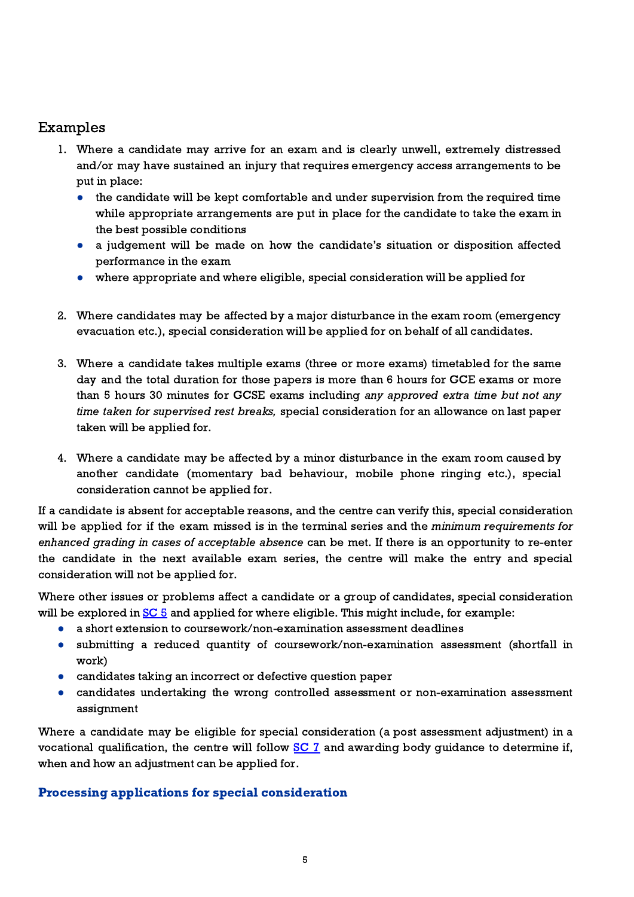### Examples

- 1. Where a candidate may arrive for an exam and is clearly unwell, extremely distressed and/or may have sustained an injury that requires emergency access arrangements to be put in place:
	- the candidate will be kept comfortable and under supervision from the required time while appropriate arrangements are put in place for the candidate to take the exam in the best possible conditions
	- a judgement will be made on how the candidate's situation or disposition affected performance in the exam
	- where appropriate and where eligible, special consideration will be applied for
- 2. Where candidates may be affected by a major disturbance in the exam room (emergency evacuation etc.), special consideration will be applied for on behalf of all candidates.
- 3. Where a candidate takes multiple exams (three or more exams) timetabled for the same day and the total duration for those papers is more than 6 hours for GCE exams or more than 5 hours 30 minutes for GCSE exams including any approved extra time but not any time taken for supervised rest breaks, special consideration for an allowance on last paper taken will be applied for.
- 4. Where a candidate may be affected by a minor disturbance in the exam room caused by another candidate (momentary bad behaviour, mobile phone ringing etc.), special consideration cannot be applied for.

If a candidate is absent for acceptable reasons, and the centre can verify this, special consideration will be applied for if the exam missed is in the terminal series and the *minimum requirements for* enhanced grading in cases of acceptable absence can be met. If there is an opportunity to re-enter the candidate in the next available exam series, the centre will make the entry and special consideration will not be applied for.

Where other issues or problems affect a candidate or a group of candidates, special consideration will be explored in  $SC_5$  $SC_5$  and applied for where eligible. This might include, for example:

- a short extension to coursework/non-examination assessment deadlines
- submitting a reduced quantity of coursework/non-examination assessment (shortfall in work)
- candidates taking an incorrect or defective question paper
- candidates undertaking the wrong controlled assessment or non-examination assessment assignment

Where a candidate may be eligible for special consideration (a post assessment adjustment) in a vocational qualification, the centre will follow **[SC](http://www.jcq.org.uk/exams-office/access-arrangements-and-special-consideration) 7** and awarding body guidance to determine if, when and how an adjustment can be applied for.

#### <span id="page-4-0"></span>Processing applications for special consideration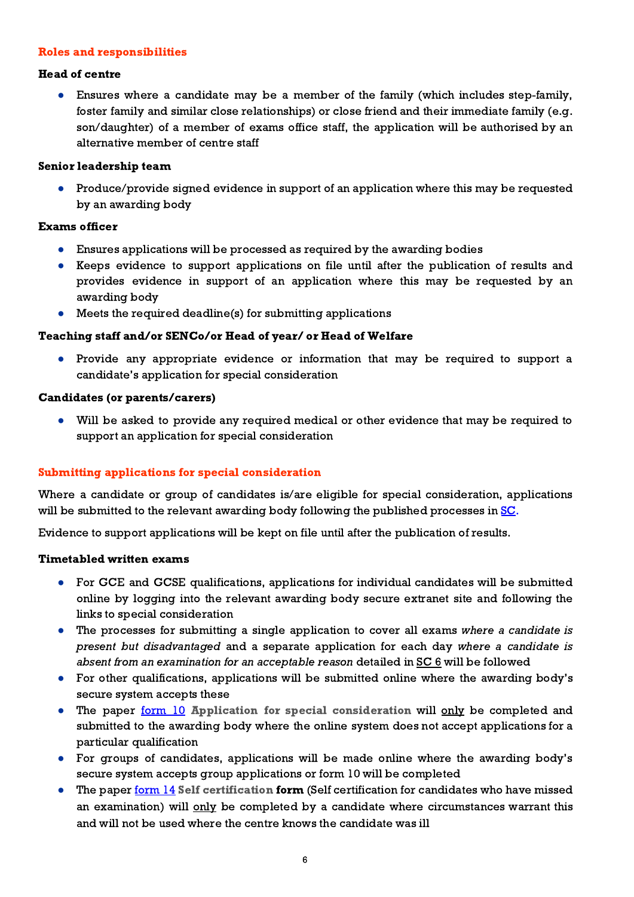#### <span id="page-5-0"></span>Roles and responsibilities

#### Head of centre

● Ensures where a candidate may be a member of the family (which includes step-family, foster family and similar close relationships) or close friend and their immediate family (e.g. son/daughter) of a member of exams office staff, the application will be authorised by an alternative member of centre staff

#### Senior leadership team

● Produce/provide signed evidence in support of an application where this may be requested by an awarding body

#### Exams officer

- Ensures applications will be processed as required by the awarding bodies
- Keeps evidence to support applications on file until after the publication of results and provides evidence in support of an application where this may be requested by an awarding body
- Meets the required deadline(s) for submitting applications

#### Teaching staff and/or SENCo/or Head of year/ or Head of Welfare

● Provide any appropriate evidence or information that may be required to support a candidate's application for special consideration

#### Candidates (or parents/carers)

● Will be asked to provide any required medical or other evidence that may be required to support an application for special consideration

#### <span id="page-5-1"></span>Submitting applications for special consideration

Where a candidate or group of candidates is/are eligible for special consideration, applications will be submitted to the relevant awarding body following the published processes in [SC](http://www.jcq.org.uk/exams-office/access-arrangements-and-special-consideration).

Evidence to support applications will be kept on file until after the publication of results.

#### <span id="page-5-2"></span>Timetabled written exams

- For GCE and GCSE qualifications, applications for individual candidates will be submitted online by logging into the relevant awarding body secure extranet site and following the links to special consideration
- The processes for submitting a single application to cover all exams where a candidate is present but disadvantaged and a separate application for each day where a candidate is absent from an examination for an acceptable reason detailed in [SC](http://www.jcq.org.uk/exams-office/access-arrangements-and-special-consideration) 6 will be followed
- For other qualifications, applications will be submitted online where the awarding body's secure system accepts these
- The paper [form](http://www.jcq.org.uk/exams-office/access-arrangements-and-special-consideration/forms) 10 Application for special consideration will only be completed and submitted to the awarding body where the online system does not accept applications for a particular qualification
- For groups of candidates, applications will be made online where the awarding body's secure system accepts group applications or form 10 will be completed
- The paper <u>[form](http://www.jcq.org.uk/exams-office/access-arrangements-and-special-consideration/forms) 14</u> Self certification form (Self certification for candidates who have missed an examination) will only be completed by a candidate where circumstances warrant this and will not be used where the centre knows the candidate was ill